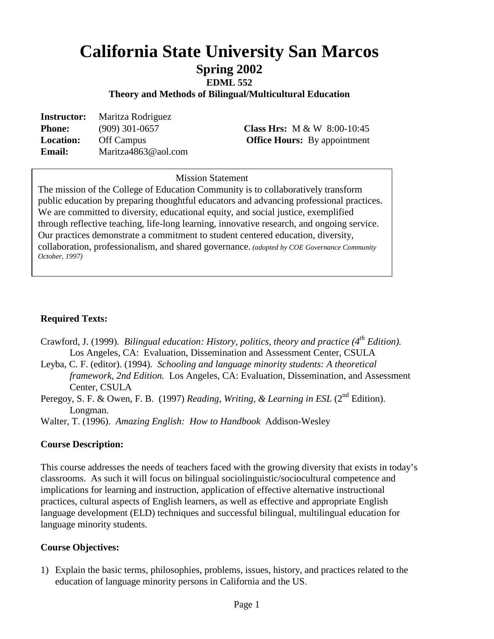# **California State University San Marcos**

## **Spring 2002**

**EDML 552** 

**Theory and Methods of Bilingual/Multicultural Education**

| <b>Instructor:</b> | Maritza Rodriguez   |  |  |
|--------------------|---------------------|--|--|
| <b>Phone:</b>      | $(909)$ 301-0657    |  |  |
| <b>Location:</b>   | Off Campus          |  |  |
| <b>Email:</b>      | Maritza4863@aol.com |  |  |

**Class Hrs:** M & W 8:00-10:45 **Office Hours:** By appointment

### **Mission Statement** Mission Statement

The mission of the College of Education Community is to collaboratively transform public education by preparing thoughtful educators and advancing professional practices. We are committed to diversity, educational equity, and social justice, exemplified through reflective teaching, life-long learning, innovative research, and ongoing service. Our practices demonstrate a commitment to student centered education, diversity, collaboration, professionalism, and shared governance. *(adopted by COE Governance Community October, 1997)*

#### **Required Texts:**

Crawford, J. (1999). *Bilingual education: History, politics, theory and practice (4<sup>th</sup> <i>Edition*). Los Angeles, CA: Evaluation, Dissemination and Assessment Center, CSULA

- Leyba, C. F. (editor). (1994). *Schooling and language minority students: A theoretical framework, 2nd Edition.* Los Angeles, CA: Evaluation, Dissemination, and Assessment Center, CSULA
- Peregoy, S. F. & Owen, F. B. (1997) *Reading, Writing, & Learning in ESL* (2<sup>nd</sup> Edition). Longman.

Walter, T. (1996). *Amazing English: How to Handbook* Addison-Wesley

#### **Course Description:**

This course addresses the needs of teachers faced with the growing diversity that exists in today's classrooms. As such it will focus on bilingual sociolinguistic/sociocultural competence and implications for learning and instruction, application of effective alternative instructional practices, cultural aspects of English learners, as well as effective and appropriate English language development (ELD) techniques and successful bilingual, multilingual education for language minority students.

#### **Course Objectives:**

1) Explain the basic terms, philosophies, problems, issues, history, and practices related to the education of language minority persons in California and the US.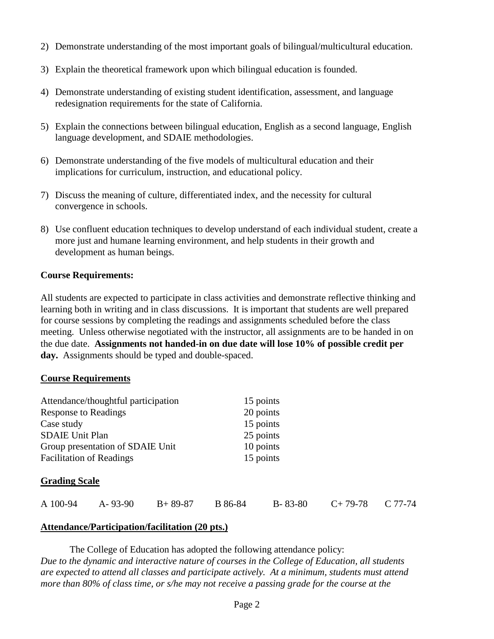- 2) Demonstrate understanding of the most important goals of bilingual/multicultural education.
- 3) Explain the theoretical framework upon which bilingual education is founded.
- 4) Demonstrate understanding of existing student identification, assessment, and language redesignation requirements for the state of California.
- 5) Explain the connections between bilingual education, English as a second language, English language development, and SDAIE methodologies.
- 6) Demonstrate understanding of the five models of multicultural education and their implications for curriculum, instruction, and educational policy.
- 7) Discuss the meaning of culture, differentiated index, and the necessity for cultural convergence in schools.
- 8) Use confluent education techniques to develop understand of each individual student, create a more just and humane learning environment, and help students in their growth and development as human beings.

#### **Course Requirements:**

All students are expected to participate in class activities and demonstrate reflective thinking and learning both in writing and in class discussions. It is important that students are well prepared for course sessions by completing the readings and assignments scheduled before the class meeting. Unless otherwise negotiated with the instructor, all assignments are to be handed in on the due date. **Assignments not handed-in on due date will lose 10% of possible credit per day.** Assignments should be typed and double-spaced.

#### **Course Requirements**

| Attendance/thoughtful participation | 15 points |
|-------------------------------------|-----------|
| <b>Response to Readings</b>         | 20 points |
| Case study                          | 15 points |
| <b>SDAIE Unit Plan</b>              | 25 points |
| Group presentation of SDAIE Unit    | 10 points |
| <b>Facilitation of Readings</b>     | 15 points |

#### **Grading Scale**

| A 100-94 | A-93-90 | $B+89-87$ | B 86-84 | $B - 83 - 80$ | $C+79-78$ $C 77-74$ |  |
|----------|---------|-----------|---------|---------------|---------------------|--|
|          |         |           |         |               |                     |  |

#### **Attendance/Participation/facilitation (20 pts.)**

The College of Education has adopted the following attendance policy: *Due to the dynamic and interactive nature of courses in the College of Education, all students are expected to attend all classes and participate actively. At a minimum, students must attend more than 80% of class time, or s/he may not receive a passing grade for the course at the*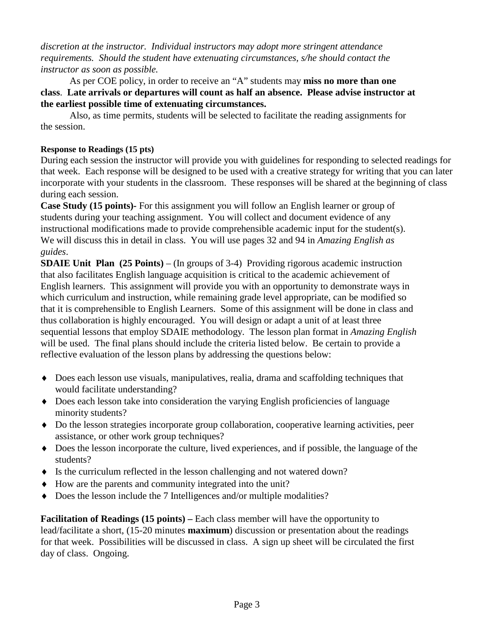*discretion at the instructor. Individual instructors may adopt more stringent attendance requirements. Should the student have extenuating circumstances, s/he should contact the instructor as soon as possible.*

As per COE policy, in order to receive an "A" students may **miss no more than one class**. **Late arrivals or departures will count as half an absence. Please advise instructor at the earliest possible time of extenuating circumstances.**

Also, as time permits, students will be selected to facilitate the reading assignments for the session.

#### **Response to Readings (15 pts)**

During each session the instructor will provide you with guidelines for responding to selected readings for that week. Each response will be designed to be used with a creative strategy for writing that you can later incorporate with your students in the classroom. These responses will be shared at the beginning of class during each session.

**Case Study (15 points)***-* For this assignment you will follow an English learner or group of students during your teaching assignment. You will collect and document evidence of any instructional modifications made to provide comprehensible academic input for the student(s). We will discuss this in detail in class. You will use pages 32 and 94 in *Amazing English as guides*.

**SDAIE Unit Plan (25 Points)** – (In groups of 3-4) Providing rigorous academic instruction that also facilitates English language acquisition is critical to the academic achievement of English learners. This assignment will provide you with an opportunity to demonstrate ways in which curriculum and instruction, while remaining grade level appropriate, can be modified so that it is comprehensible to English Learners. Some of this assignment will be done in class and thus collaboration is highly encouraged. You will design or adapt a unit of at least three sequential lessons that employ SDAIE methodology. The lesson plan format in *Amazing English*  will be used. The final plans should include the criteria listed below. Be certain to provide a reflective evaluation of the lesson plans by addressing the questions below:

- ♦ Does each lesson use visuals, manipulatives, realia, drama and scaffolding techniques that would facilitate understanding?
- Does each lesson take into consideration the varying English proficiencies of language minority students?
- ♦ Do the lesson strategies incorporate group collaboration, cooperative learning activities, peer assistance, or other work group techniques?
- ♦ Does the lesson incorporate the culture, lived experiences, and if possible, the language of the students?
- ♦ Is the curriculum reflected in the lesson challenging and not watered down?
- ♦ How are the parents and community integrated into the unit?
- ♦ Does the lesson include the 7 Intelligences and/or multiple modalities?

**Facilitation of Readings (15 points) –** Each class member will have the opportunity to lead/facilitate a short, (15-20 minutes **maximum**) discussion or presentation about the readings for that week. Possibilities will be discussed in class. A sign up sheet will be circulated the first day of class. Ongoing.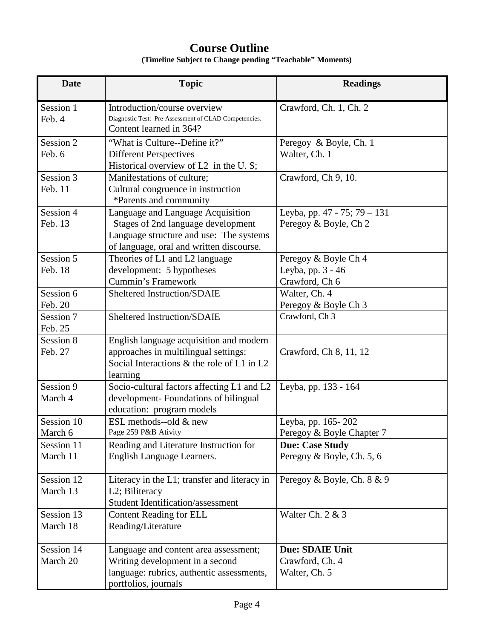## **Course Outline**

**(Timeline Subject to Change pending "Teachable" Moments)**

| <b>Date</b>            | <b>Topic</b>                                                                                                                                                   | <b>Readings</b>                                             |
|------------------------|----------------------------------------------------------------------------------------------------------------------------------------------------------------|-------------------------------------------------------------|
| Session 1<br>Feb. 4    | Introduction/course overview<br>Diagnostic Test: Pre-Assessment of CLAD Competencies.<br>Content learned in 364?                                               | Crawford, Ch. 1, Ch. 2                                      |
| Session 2<br>Feb. 6    | "What is Culture--Define it?"<br><b>Different Perspectives</b><br>Historical overview of L2 in the U.S;                                                        | Peregoy & Boyle, Ch. 1<br>Walter, Ch. 1                     |
| Session 3<br>Feb. 11   | Manifestations of culture;<br>Cultural congruence in instruction<br>*Parents and community                                                                     | Crawford, Ch 9, 10.                                         |
| Session 4<br>Feb. 13   | Language and Language Acquisition<br>Stages of 2nd language development<br>Language structure and use: The systems<br>of language, oral and written discourse. | Leyba, pp. 47 - 75; 79 - 131<br>Peregoy & Boyle, Ch 2       |
| Session 5<br>Feb. 18   | Theories of L1 and L2 language<br>development: 5 hypotheses<br><b>Cummin's Framework</b>                                                                       | Peregoy & Boyle Ch 4<br>Leyba, pp. 3 - 46<br>Crawford, Ch 6 |
| Session 6<br>Feb. 20   | Sheltered Instruction/SDAIE                                                                                                                                    | Walter, Ch. 4<br>Peregoy & Boyle Ch 3                       |
| Session 7<br>Feb. 25   | Sheltered Instruction/SDAIE                                                                                                                                    | Crawford, Ch 3                                              |
| Session 8<br>Feb. 27   | English language acquisition and modern<br>approaches in multilingual settings:<br>Social Interactions & the role of L1 in L2<br>learning                      | Crawford, Ch 8, 11, 12                                      |
| Session 9<br>March 4   | Socio-cultural factors affecting L1 and L2<br>development- Foundations of bilingual<br>education: program models                                               | Leyba, pp. 133 - 164                                        |
| Session 10<br>March 6  | ESL methods--old & new<br>Page 259 P&B Ativity                                                                                                                 | Leyba, pp. 165-202<br>Peregoy & Boyle Chapter 7             |
| Session 11<br>March 11 | Reading and Literature Instruction for<br>English Language Learners.                                                                                           | <b>Due: Case Study</b><br>Peregoy & Boyle, Ch. 5, 6         |
| Session 12<br>March 13 | Literacy in the L1; transfer and literacy in<br>L2; Biliteracy<br><b>Student Identification/assessment</b>                                                     | Peregoy & Boyle, Ch. 8 & 9                                  |
| Session 13<br>March 18 | <b>Content Reading for ELL</b><br>Reading/Literature                                                                                                           | Walter Ch. 2 & 3                                            |
| Session 14<br>March 20 | Language and content area assessment;<br>Writing development in a second<br>language: rubrics, authentic assessments,<br>portfolios, journals                  | <b>Due: SDAIE Unit</b><br>Crawford, Ch. 4<br>Walter, Ch. 5  |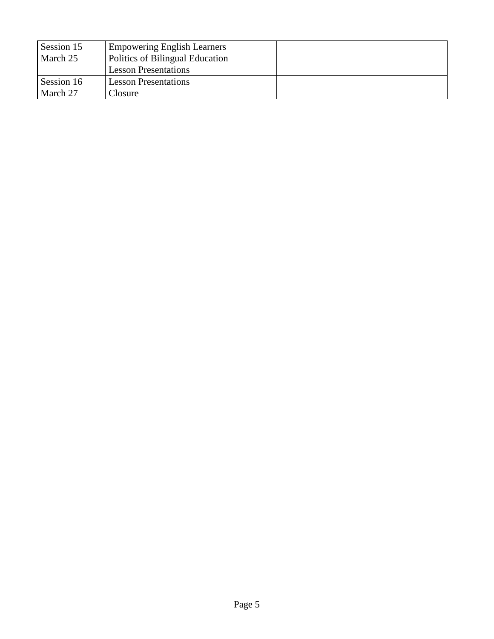| Session 15 | <b>Empowering English Learners</b> |  |
|------------|------------------------------------|--|
| March 25   | Politics of Bilingual Education    |  |
|            | <b>Lesson Presentations</b>        |  |
| Session 16 | <b>Lesson Presentations</b>        |  |
| March 27   | Closure                            |  |